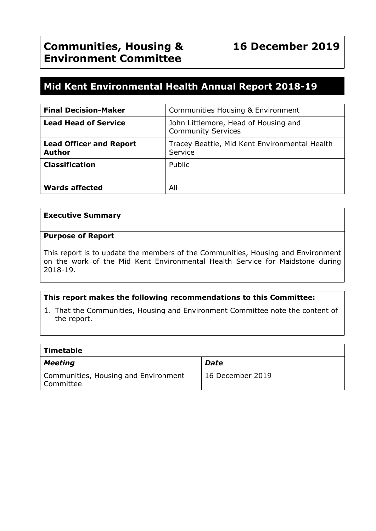# **Mid Kent Environmental Health Annual Report 2018-19**

| <b>Final Decision-Maker</b>                     | Communities Housing & Environment                                 |
|-------------------------------------------------|-------------------------------------------------------------------|
| <b>Lead Head of Service</b>                     | John Littlemore, Head of Housing and<br><b>Community Services</b> |
| <b>Lead Officer and Report</b><br><b>Author</b> | Tracey Beattie, Mid Kent Environmental Health<br>Service          |
| <b>Classification</b>                           | Public                                                            |
| <b>Wards affected</b>                           | All                                                               |

#### **Executive Summary**

#### **Purpose of Report**

This report is to update the members of the Communities, Housing and Environment on the work of the Mid Kent Environmental Health Service for Maidstone during 2018-19.

#### **This report makes the following recommendations to this Committee:**

1. That the Communities, Housing and Environment Committee note the content of the report.

| Timetable                                                      |                  |
|----------------------------------------------------------------|------------------|
| <b>Meeting</b>                                                 | <b>Date</b>      |
| Communities, Housing and Environment<br><sup>l</sup> Committee | 16 December 2019 |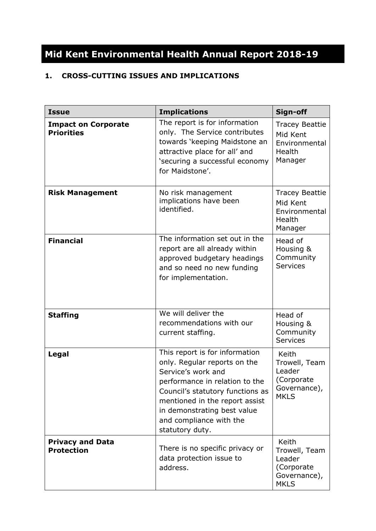# **Mid Kent Environmental Health Annual Report 2018-19**

## **1. CROSS-CUTTING ISSUES AND IMPLICATIONS**

| <b>Issue</b>                                    | <b>Implications</b>                                                                                                                                                                                                                                                       | Sign-off                                                                      |
|-------------------------------------------------|---------------------------------------------------------------------------------------------------------------------------------------------------------------------------------------------------------------------------------------------------------------------------|-------------------------------------------------------------------------------|
| <b>Impact on Corporate</b><br><b>Priorities</b> | The report is for information<br>only. The Service contributes<br>towards 'keeping Maidstone an<br>attractive place for all' and<br>'securing a successful economy<br>for Maidstone'.                                                                                     | <b>Tracey Beattie</b><br>Mid Kent<br>Environmental<br>Health<br>Manager       |
| <b>Risk Management</b>                          | No risk management<br>implications have been<br>identified.                                                                                                                                                                                                               | <b>Tracey Beattie</b><br>Mid Kent<br>Environmental<br>Health<br>Manager       |
| <b>Financial</b>                                | The information set out in the<br>report are all already within<br>approved budgetary headings<br>and so need no new funding<br>for implementation.                                                                                                                       | Head of<br>Housing &<br>Community<br><b>Services</b>                          |
| <b>Staffing</b>                                 | We will deliver the<br>recommendations with our<br>current staffing.                                                                                                                                                                                                      | Head of<br>Housing &<br>Community<br><b>Services</b>                          |
| Legal                                           | This report is for information<br>only. Regular reports on the<br>Service's work and<br>performance in relation to the<br>Council's statutory functions as<br>mentioned in the report assist<br>in demonstrating best value<br>and compliance with the<br>statutory duty. | Keith<br>Trowell, Team<br>Leader<br>(Corporate<br>Governance),<br><b>MKLS</b> |
| <b>Privacy and Data</b><br><b>Protection</b>    | There is no specific privacy or<br>data protection issue to<br>address.                                                                                                                                                                                                   | Keith<br>Trowell, Team<br>Leader<br>(Corporate<br>Governance),<br><b>MKLS</b> |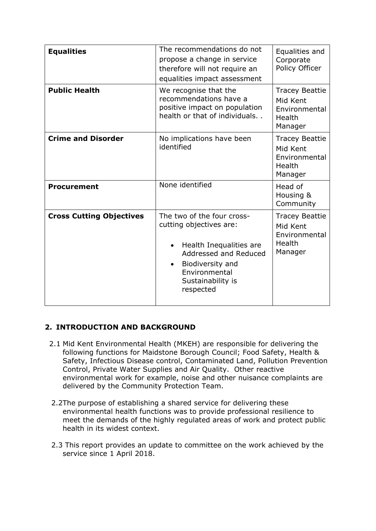| <b>Equalities</b>               | The recommendations do not<br>propose a change in service<br>therefore will not require an<br>equalities impact assessment                                                                    | Equalities and<br>Corporate<br>Policy Officer                                  |
|---------------------------------|-----------------------------------------------------------------------------------------------------------------------------------------------------------------------------------------------|--------------------------------------------------------------------------------|
| <b>Public Health</b>            | We recognise that the<br>recommendations have a<br>positive impact on population<br>health or that of individuals                                                                             | <b>Tracey Beattie</b><br>Mid Kent<br>Environmental<br><b>Health</b><br>Manager |
| <b>Crime and Disorder</b>       | No implications have been<br>identified                                                                                                                                                       | <b>Tracey Beattie</b><br>Mid Kent<br>Environmental<br>Health<br>Manager        |
| <b>Procurement</b>              | None identified                                                                                                                                                                               | Head of<br>Housing &<br>Community                                              |
| <b>Cross Cutting Objectives</b> | The two of the four cross-<br>cutting objectives are:<br>Health Inequalities are<br>Addressed and Reduced<br>Biodiversity and<br>$\bullet$<br>Environmental<br>Sustainability is<br>respected | <b>Tracey Beattie</b><br>Mid Kent<br>Environmental<br>Health<br>Manager        |

## **2. INTRODUCTION AND BACKGROUND**

- 2.1 Mid Kent Environmental Health (MKEH) are responsible for delivering the following functions for Maidstone Borough Council; Food Safety, Health & Safety, Infectious Disease control, Contaminated Land, Pollution Prevention Control, Private Water Supplies and Air Quality. Other reactive environmental work for example, noise and other nuisance complaints are delivered by the Community Protection Team.
- 2.2The purpose of establishing a shared service for delivering these environmental health functions was to provide professional resilience to meet the demands of the highly regulated areas of work and protect public health in its widest context.
- 2.3 This report provides an update to committee on the work achieved by the service since 1 April 2018.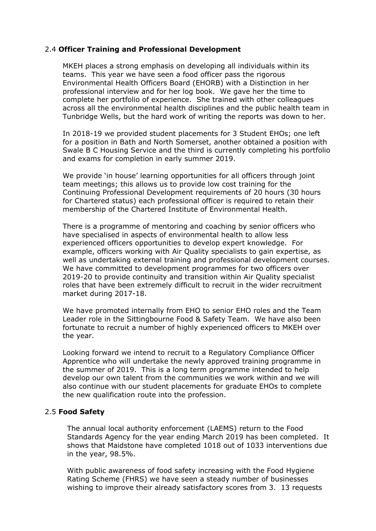#### 2.4 **Officer Training and Professional Development**

MKEH places a strong emphasis on developing all individuals within its teams. This year we have seen a food officer pass the rigorous Environmental Health Officers Board (EHORB) with a Distinction in her professional interview and for her log book. We gave her the time to complete her portfolio of experience. She trained with other colleagues across all the environmental health disciplines and the public health team in Tunbridge Wells, but the hard work of writing the reports was down to her.

In 2018-19 we provided student placements for 3 Student EHOs; one left for a position in Bath and North Somerset, another obtained a position with Swale B C Housing Service and the third is currently completing his portfolio and exams for completion in early summer 2019.

We provide 'in house' learning opportunities for all officers through joint team meetings; this allows us to provide low cost training for the Continuing Professional Development requirements of 20 hours (30 hours for Chartered status) each professional officer is required to retain their membership of the Chartered Institute of Environmental Health.

There is a programme of mentoring and coaching by senior officers who have specialised in aspects of environmental health to allow less experienced officers opportunities to develop expert knowledge. For example, officers working with Air Quality specialists to gain expertise, as well as undertaking external training and professional development courses. We have committed to development programmes for two officers over 2019-20 to provide continuity and transition within Air Quality specialist roles that have been extremely difficult to recruit in the wider recruitment market during 2017-18.

We have promoted internally from EHO to senior EHO roles and the Team Leader role in the Sittingbourne Food & Safety Team. We have also been fortunate to recruit a number of highly experienced officers to MKEH over the year.

Looking forward we intend to recruit to a Regulatory Compliance Officer Apprentice who will undertake the newly approved training programme in the summer of 2019. This is a long term programme intended to help develop our own talent from the communities we work within and we will also continue with our student placements for graduate EHOs to complete the new qualification route into the profession.

#### 2.5 **Food Safety**

The annual local authority enforcement (LAEMS) return to the Food Standards Agency for the year ending March 2019 has been completed. It shows that Maidstone have completed 1018 out of 1033 interventions due in the year, 98.5%.

With public awareness of food safety increasing with the Food Hygiene Rating Scheme (FHRS) we have seen a steady number of businesses wishing to improve their already satisfactory scores from 3. 13 requests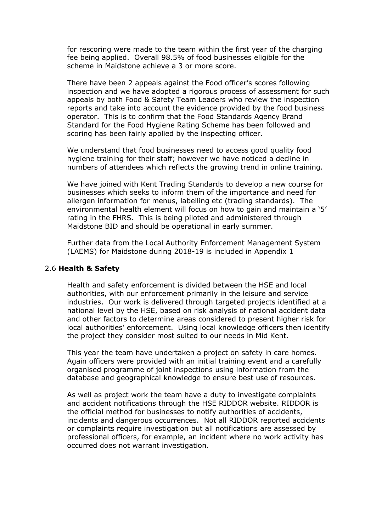for rescoring were made to the team within the first year of the charging fee being applied. Overall 98.5% of food businesses eligible for the scheme in Maidstone achieve a 3 or more score.

There have been 2 appeals against the Food officer's scores following inspection and we have adopted a rigorous process of assessment for such appeals by both Food & Safety Team Leaders who review the inspection reports and take into account the evidence provided by the food business operator. This is to confirm that the Food Standards Agency Brand Standard for the Food Hygiene Rating Scheme has been followed and scoring has been fairly applied by the inspecting officer.

We understand that food businesses need to access good quality food hygiene training for their staff; however we have noticed a decline in numbers of attendees which reflects the growing trend in online training.

We have joined with Kent Trading Standards to develop a new course for businesses which seeks to inform them of the importance and need for allergen information for menus, labelling etc (trading standards). The environmental health element will focus on how to gain and maintain a '5' rating in the FHRS. This is being piloted and administered through Maidstone BID and should be operational in early summer.

Further data from the Local Authority Enforcement Management System (LAEMS) for Maidstone during 2018-19 is included in Appendix 1

#### 2.6 **Health & Safety**

Health and safety enforcement is divided between the HSE and local authorities, with our enforcement primarily in the leisure and service industries. Our work is delivered through targeted projects identified at a national level by the HSE, based on risk analysis of national accident data and other factors to determine areas considered to present higher risk for local authorities' enforcement. Using local knowledge officers then identify the project they consider most suited to our needs in Mid Kent.

This year the team have undertaken a project on safety in care homes. Again officers were provided with an initial training event and a carefully organised programme of joint inspections using information from the database and geographical knowledge to ensure best use of resources.

As well as project work the team have a duty to investigate complaints and accident notifications through the HSE RIDDOR website. RIDDOR is the official method for businesses to notify authorities of accidents, incidents and dangerous occurrences. Not all RIDDOR reported accidents or complaints require investigation but all notifications are assessed by professional officers, for example, an incident where no work activity has occurred does not warrant investigation.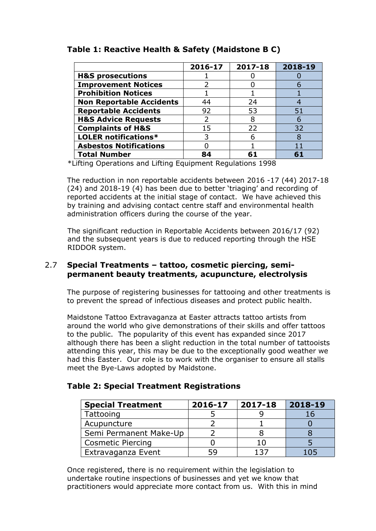|                                 | 2016-17 | 2017-18 | 2018-19 |
|---------------------------------|---------|---------|---------|
| <b>H&amp;S prosecutions</b>     |         |         |         |
| <b>Improvement Notices</b>      |         |         |         |
| <b>Prohibition Notices</b>      |         |         |         |
| <b>Non Reportable Accidents</b> | 44      | 24      |         |
| <b>Reportable Accidents</b>     | 92      | 53      | 51      |
| <b>H&amp;S Advice Requests</b>  |         | 8       |         |
| <b>Complaints of H&amp;S</b>    | 15      | 22      | 32      |
| <b>LOLER notifications*</b>     |         | 6       |         |
| <b>Asbestos Notifications</b>   |         |         |         |
| <b>Total Number</b>             | 84      |         |         |

## **Table 1: Reactive Health & Safety (Maidstone B C)**

\*Lifting Operations and Lifting Equipment Regulations 1998

The reduction in non reportable accidents between 2016 -17 (44) 2017-18 (24) and 2018-19 (4) has been due to better 'triaging' and recording of reported accidents at the initial stage of contact. We have achieved this by training and advising contact centre staff and environmental health administration officers during the course of the year.

The significant reduction in Reportable Accidents between 2016/17 (92) and the subsequent years is due to reduced reporting through the HSE RIDDOR system.

### 2.7 **Special Treatments – tattoo, cosmetic piercing, semipermanent beauty treatments, acupuncture, electrolysis**

The purpose of registering businesses for tattooing and other treatments is to prevent the spread of infectious diseases and protect public health.

Maidstone Tattoo Extravaganza at Easter attracts tattoo artists from around the world who give demonstrations of their skills and offer tattoos to the public. The popularity of this event has expanded since 2017 although there has been a slight reduction in the total number of tattooists attending this year, this may be due to the exceptionally good weather we had this Easter. Our role is to work with the organiser to ensure all stalls meet the Bye-Laws adopted by Maidstone.

## **Table 2: Special Treatment Registrations**

| <b>Special Treatment</b> | 2016-17 | 2017-18 | 2018-19 |
|--------------------------|---------|---------|---------|
| Tattooing                |         |         | 16      |
| Acupuncture              |         |         |         |
| Semi Permanent Make-Up   |         |         |         |
| <b>Cosmetic Piercing</b> |         |         |         |
| Extravaganza Event       |         | 137     | 105     |

Once registered, there is no requirement within the legislation to undertake routine inspections of businesses and yet we know that practitioners would appreciate more contact from us. With this in mind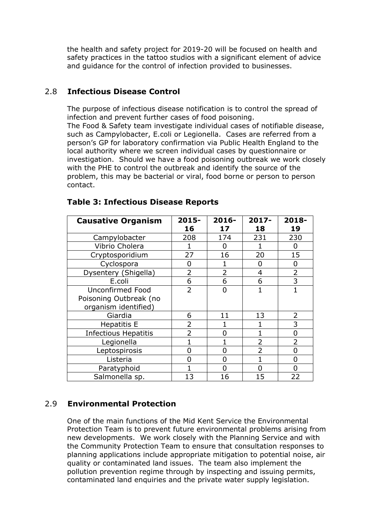the health and safety project for 2019-20 will be focused on health and safety practices in the tattoo studios with a significant element of advice and guidance for the control of infection provided to businesses.

## 2.8 **Infectious Disease Control**

The purpose of infectious disease notification is to control the spread of infection and prevent further cases of food poisoning. The Food & Safety team investigate individual cases of notifiable disease, such as Campylobacter, E.coli or Legionella. Cases are referred from a person's GP for laboratory confirmation via Public Health England to the local authority where we screen individual cases by questionnaire or investigation. Should we have a food poisoning outbreak we work closely with the PHE to control the outbreak and identify the source of the problem, this may be bacterial or viral, food borne or person to person contact.

| <b>Causative Organism</b>   | 2015-          | 2016-          | 2017-          | 2018-        |
|-----------------------------|----------------|----------------|----------------|--------------|
|                             | 16             | 17             | 18             | 19           |
| Campylobacter               | 208            | 174            | 231            | 230          |
| Vibrio Cholera              |                | O              |                | 0            |
| Cryptosporidium             | 27             | 16             | 20             | 15           |
| Cyclospora                  | 0              |                | 0              | 0            |
| Dysentery (Shigella)        | $\overline{2}$ | $\overline{2}$ | 4              | 2            |
| E.coli                      | 6              | 6              | 6              | 3            |
| Unconfirmed Food            | $\overline{2}$ | U              | $\mathbf{1}$   | $\mathbf{1}$ |
| Poisoning Outbreak (no      |                |                |                |              |
| organism identified)        |                |                |                |              |
| Giardia                     | 6              | 11             | 13             | 2            |
| <b>Hepatitis E</b>          | 2              |                |                | 3            |
| <b>Infectious Hepatitis</b> | $\overline{2}$ | n              |                | 0            |
| Legionella                  |                |                | $\overline{2}$ | 2            |
| Leptospirosis               | 0              | 0              | $\overline{2}$ | O            |
| Listeria                    | O              | 0              |                | ი            |
| Paratyphoid                 |                | n              |                |              |
| Salmonella sp.              | 13             | 16             | 15             | 22           |

### **Table 3: Infectious Disease Reports**

## 2.9 **Environmental Protection**

One of the main functions of the Mid Kent Service the Environmental Protection Team is to prevent future environmental problems arising from new developments. We work closely with the Planning Service and with the Community Protection Team to ensure that consultation responses to planning applications include appropriate mitigation to potential noise, air quality or contaminated land issues. The team also implement the pollution prevention regime through by inspecting and issuing permits, contaminated land enquiries and the private water supply legislation.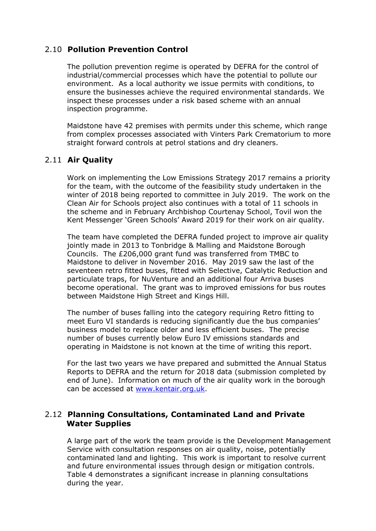### 2.10 **Pollution Prevention Control**

The pollution prevention regime is operated by DEFRA for the control of industrial/commercial processes which have the potential to pollute our environment. As a local authority we issue permits with conditions, to ensure the businesses achieve the required environmental standards. We inspect these processes under a risk based scheme with an annual inspection programme.

Maidstone have 42 premises with permits under this scheme, which range from complex processes associated with Vinters Park Crematorium to more straight forward controls at petrol stations and dry cleaners.

## 2.11 **Air Quality**

Work on implementing the Low Emissions Strategy 2017 remains a priority for the team, with the outcome of the feasibility study undertaken in the winter of 2018 being reported to committee in July 2019. The work on the Clean Air for Schools project also continues with a total of 11 schools in the scheme and in February Archbishop Courtenay School, Tovil won the Kent Messenger 'Green Schools' Award 2019 for their work on air quality.

The team have completed the DEFRA funded project to improve air quality jointly made in 2013 to Tonbridge & Malling and Maidstone Borough Councils. The £206,000 grant fund was transferred from TMBC to Maidstone to deliver in November 2016. May 2019 saw the last of the seventeen retro fitted buses, fitted with Selective, Catalytic Reduction and particulate traps, for NuVenture and an additional four Arriva buses become operational. The grant was to improved emissions for bus routes between Maidstone High Street and Kings Hill.

The number of buses falling into the category requiring Retro fitting to meet Euro VI standards is reducing significantly due the bus companies' business model to replace older and less efficient buses. The precise number of buses currently below Euro IV emissions standards and operating in Maidstone is not known at the time of writing this report.

For the last two years we have prepared and submitted the Annual Status Reports to DEFRA and the return for 2018 data (submission completed by end of June). Information on much of the air quality work in the borough can be accessed at [www.kentair.org.uk](http://www.kentair.org.uk/).

### 2.12 **Planning Consultations, Contaminated Land and Private Water Supplies**

A large part of the work the team provide is the Development Management Service with consultation responses on air quality, noise, potentially contaminated land and lighting. This work is important to resolve current and future environmental issues through design or mitigation controls. Table 4 demonstrates a significant increase in planning consultations during the year.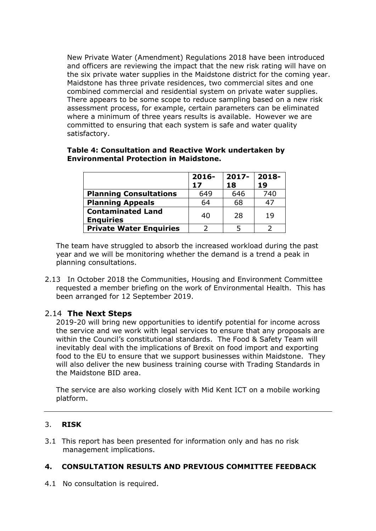New Private Water (Amendment) Regulations 2018 have been introduced and officers are reviewing the impact that the new risk rating will have on the six private water supplies in the Maidstone district for the coming year. Maidstone has three private residences, two commercial sites and one combined commercial and residential system on private water supplies. There appears to be some scope to reduce sampling based on a new risk assessment process, for example, certain parameters can be eliminated where a minimum of three years results is available. However we are committed to ensuring that each system is safe and water quality satisfactory.

|                                              | $2016-$ | $2017 -$ | $2018 -$ |
|----------------------------------------------|---------|----------|----------|
|                                              | 17      | 18       | 19       |
| <b>Planning Consultations</b>                | 649     | 646      | 740      |
| <b>Planning Appeals</b>                      | 64      | 68       | 47       |
| <b>Contaminated Land</b><br><b>Enquiries</b> | 40      | 28       | 19       |

**Private Water Enquiries** 2 2 3

#### **Table 4: Consultation and Reactive Work undertaken by Environmental Protection in Maidstone.**

The team have struggled to absorb the increased workload during the past year and we will be monitoring whether the demand is a trend a peak in planning consultations.

2.13 In October 2018 the Communities, Housing and Environment Committee requested a member briefing on the work of Environmental Health. This has been arranged for 12 September 2019.

### 2.14 **The Next Steps**

2019-20 will bring new opportunities to identify potential for income across the service and we work with legal services to ensure that any proposals are within the Council's constitutional standards. The Food & Safety Team will inevitably deal with the implications of Brexit on food import and exporting food to the EU to ensure that we support businesses within Maidstone. They will also deliver the new business training course with Trading Standards in the Maidstone BID area.

The service are also working closely with Mid Kent ICT on a mobile working platform.

### 3. **RISK**

3.1 This report has been presented for information only and has no risk management implications.

#### **4. CONSULTATION RESULTS AND PREVIOUS COMMITTEE FEEDBACK**

4.1 No consultation is required.